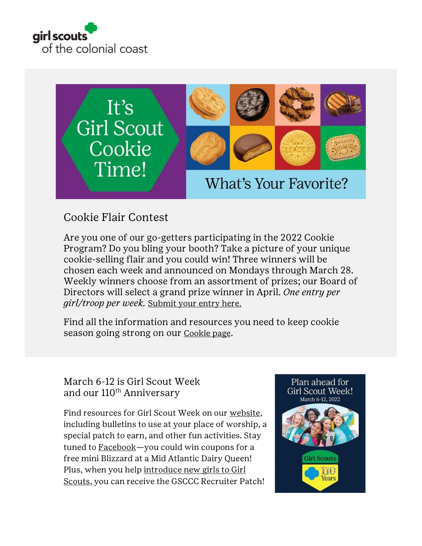



# Cookie Flair Contest

Are you one of our go-getters participating in the 2022 Cookie Program? Do you bling your booth? Take a picture of your unique cookie-selling flair and you could win! Three winners will be chosen each week and announced on Mondays through March 28. Weekly winners choose from an assortment of prizes; our Board of Directors will select a grand prize winner in April. *One entry per girl/troop per week.* [Submit your entry here.](https://form.jotform.com/220194616679161)

Find all the information and resources you need to keep cookie season going strong on our [Cookie page](https://www.gsccc.org/en/cookies/about-girl-scout-cookies.html?utm_source=family-connections&utm_medium=email).

March 6-12 is Girl Scout Week and our 110<sup>th</sup> Anniversary

Find resources for Girl Scout Week on our [website,](https://www.gsccc.org/en/events/girl-scout-week.html?utm_source=family-connections&utm_medium=email) including bulletins to use at your place of worship, a special patch to earn, and other fun activities. Stay tuned to [Facebook](https://www.facebook.com/girlscoutscolonialcoast/)—you could win coupons for a free mini Blizzard at a Mid Atlantic Dairy Queen! Plus, when you help [introduce new girls to Girl](https://www.gsccc.org/en/join/sign-up-events.html?utm_source=family-connections&utm_medium=email)  [Scouts,](https://www.gsccc.org/en/join/sign-up-events.html?utm_source=family-connections&utm_medium=email) you can receive the GSCCC Recruiter Patch!

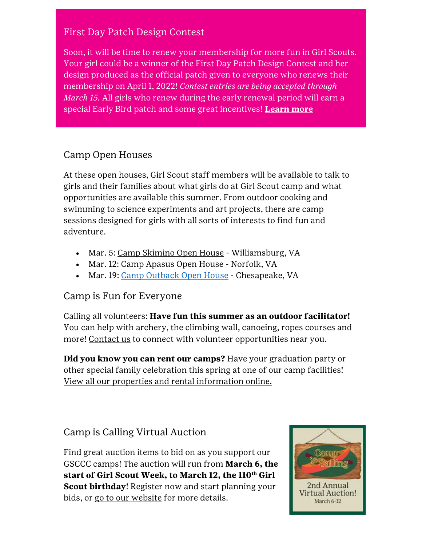## First Day Patch Design Contest

Soon, it will be time to renew your membership for more fun in Girl Scouts. Your girl could be a winner of the First Day Patch Design Contest and her design produced as the official patch given to everyone who renews their membership on April 1, 2022! *Contest entries are being accepted through March 15.* All girls who renew during the early renewal period will earn a special Early Bird patch and some great incentives! **[Learn more](https://www.gsccc.org/en/join/renew.html?utm_source=family-connections&utm_medium=email)**

## Camp Open Houses

At these open houses, Girl Scout staff members will be available to talk to girls and their families about what girls do at Girl Scout camp and what opportunities are available this summer. From outdoor cooking and swimming to science experiments and art projects, there are camp sessions designed for girls with all sorts of interests to find fun and adventure.

- Mar. 5: [Camp Skimino Open House](https://www.gsccc.org/en/sf-events-repository/2022/skimino-open-house.html) Williamsburg, VA
- Mar. 12: [Camp Apasus Open House](https://www.gsccc.org/content/gsccc/en/sf-events-repository/2022/apasus-open-house.html) Norfolk, VA
- Mar. 19: [Camp Outback Open House](https://www.gsccc.org/content/gsccc/en/sf-events-repository/2022/outback-open-house.html) Chesapeake, VA

### Camp is Fun for Everyone

Calling all volunteers: **Have fun this summer as an outdoor facilitator!** You can help with archery, the climbing wall, canoeing, ropes courses and more! [Contact us](mailto:customercare@gsccc.org?subject=) to connect with volunteer opportunities near you.

**Did you know you can rent our camps?** Have your graduation party or other special family celebration this spring at one of our camp facilities! [View all our properties and rental information online.](https://www.gsccc.org/en/camp/camps-facilities.html?utm_source=family-connections&utm_medium=email)

Camp is Calling Virtual Auction

Find great auction items to bid on as you support our GSCCC camps! The auction will run from **March 6, the start of Girl Scout Week, to March 12, the 110th Girl Scout birthday!** [Register now](https://cbo.io/bidapp/index.php?slug=gsccc) and start planning your bids, or [go to our website](https://www.gsccc.org/en/camp/camp-is-calling.html?utm_source=family-connections&utm_medium=email) for more details.

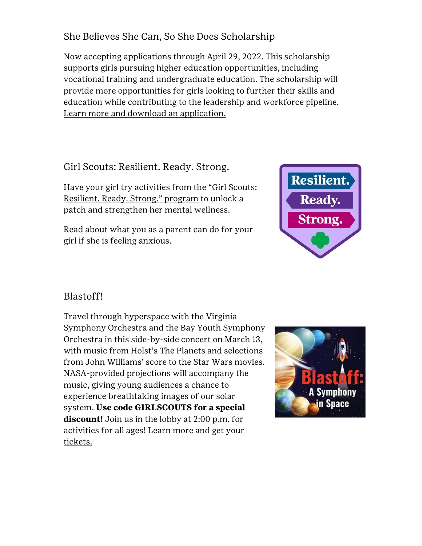She Believes She Can, So She Does Scholarship

Now accepting applications through April 29, 2022. This scholarship supports girls pursuing higher education opportunities, including vocational training and undergraduate education. The scholarship will provide more opportunities for girls looking to further their skills and education while contributing to the leadership and workforce pipeline. [Learn more and download an application.](https://www.gsccc.org/en/about/our-program/highest-awards/scholarships.html?utm_source=family-connections&utm_medium=email)

Girl Scouts: Resilient. Ready. Strong.

Have your girl try activities from the "Girl Scouts: [Resilient. Ready. Strong." program](https://www.girlscouts.org/en/activities-for-girls/for-every-girl/mental-health-wellness-activities.html) to unlock a patch and strengthen her mental wellness.

[Read about](http://click.email.girlscouts.org/?qs=fb18718937b2183d461c65a5948b0c5aa85c27b91ff298c5ff815a5bb1556de07624d80f816efa5e767c444634580ae99292a35220e1361c) what you as a parent can do for your girl if she is feeling anxious.



## Blastoff!

Travel through hyperspace with the Virginia Symphony Orchestra and the Bay Youth Symphony Orchestra in this side-by-side concert on March 13, with music from Holst's The Planets and selections from John Williams' score to the Star Wars movies. NASA-provided projections will accompany the music, giving young audiences a chance to experience breathtaking images of our solar system. **Use code GIRLSCOUTS for a special discount!** Join us in the lobby at 2:00 p.m. for activities for all ages! [Learn more and get your](https://bit.ly/3rRRB5Q)  [tickets.](https://bit.ly/3rRRB5Q)

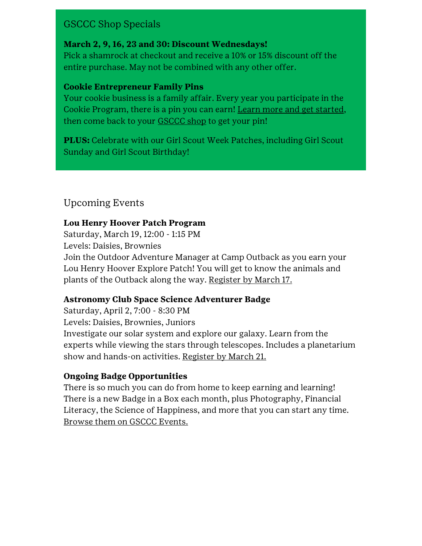## GSCCC Shop Specials

#### **March 2, 9, 16, 23 and 30: Discount Wednesdays!**

Pick a shamrock at checkout and receive a 10% or 15% discount off the entire purchase. May not be combined with any other offer.

#### **Cookie Entrepreneur Family Pins**

Your cookie business is a family affair. Every year you participate in the Cookie Program, there is a pin you can earn! [Learn more and get started,](https://www.girlscouts.org/en/members/for-parents-and-families/cookie-entrepreneur-family-pin.html) then come back to your [GSCCC shop](https://www.gsccc.org/en/our-council/shop.html?utm_source=family-connections&utm_medium=email) to get your pin!

**PLUS:** Celebrate with our Girl Scout Week Patches, including Girl Scout Sunday and Girl Scout Birthday!

## Upcoming Events

#### **Lou Henry Hoover Patch Program**

Saturday, March 19, 12:00 - 1:15 PM Levels: Daisies, Brownies Join the Outdoor Adventure Manager at Camp Outback as you earn your Lou Henry Hoover Explore Patch! You will get to know the animals and plants of the Outback along the way. [Register by March 17.](https://www.gsccc.org/en/sf-events-repository/2022/lou-henry-hoover-patch-program.html)

#### **Astronomy Club Space Science Adventurer Badge**

Saturday, April 2, 7:00 - 8:30 PM Levels: Daisies, Brownies, Juniors Investigate our solar system and explore our galaxy. Learn from the experts while viewing the stars through telescopes. Includes a planetarium show and hands-on activities. [Register by March 21.](https://www.gsccc.org/en/sf-events-repository/2022/astronomy-club-space-science-adventurer-badge.html)

#### **Ongoing Badge Opportunities**

There is so much you can do from home to keep earning and learning! There is a new Badge in a Box each month, plus Photography, Financial Literacy, the Science of Happiness, and more that you can start any time. [Browse them on GSCCC Events.](https://www.gsccc.org/en/events/event-list.html?utm_source=family-connections&utm_medium=email)